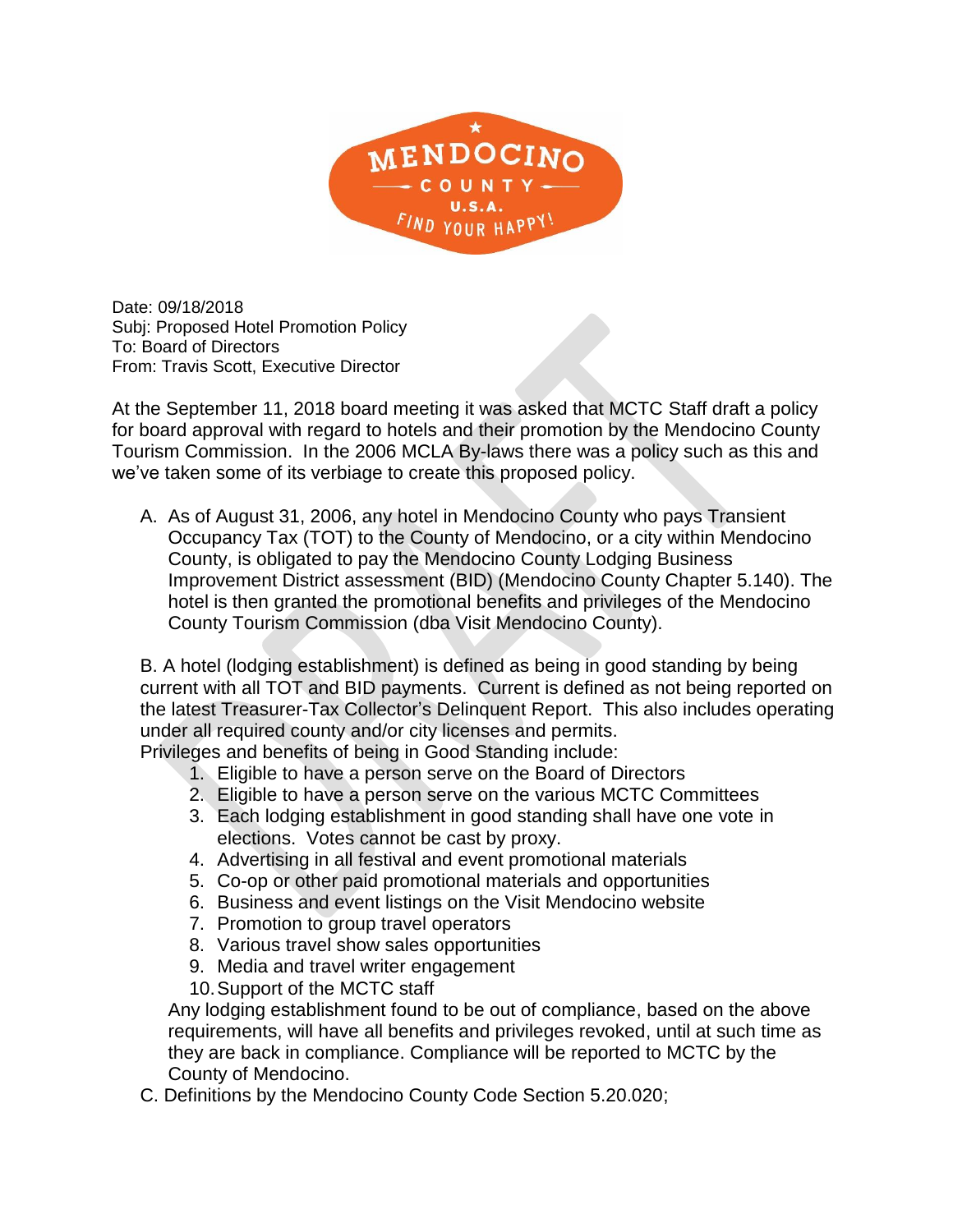

Date: 09/18/2018 Subj: Proposed Hotel Promotion Policy To: Board of Directors From: Travis Scott, Executive Director

At the September 11, 2018 board meeting it was asked that MCTC Staff draft a policy for board approval with regard to hotels and their promotion by the Mendocino County Tourism Commission. In the 2006 MCLA By-laws there was a policy such as this and we've taken some of its verbiage to create this proposed policy.

A. As of August 31, 2006, any hotel in Mendocino County who pays Transient Occupancy Tax (TOT) to the County of Mendocino, or a city within Mendocino County, is obligated to pay the Mendocino County Lodging Business Improvement District assessment (BID) (Mendocino County Chapter 5.140). The hotel is then granted the promotional benefits and privileges of the Mendocino County Tourism Commission (dba Visit Mendocino County).

B. A hotel (lodging establishment) is defined as being in good standing by being current with all TOT and BID payments. Current is defined as not being reported on the latest Treasurer-Tax Collector's Delinquent Report. This also includes operating under all required county and/or city licenses and permits.

Privileges and benefits of being in Good Standing include:

- 1. Eligible to have a person serve on the Board of Directors
- 2. Eligible to have a person serve on the various MCTC Committees
- 3. Each lodging establishment in good standing shall have one vote in elections. Votes cannot be cast by proxy.
- 4. Advertising in all festival and event promotional materials
- 5. Co-op or other paid promotional materials and opportunities
- 6. Business and event listings on the Visit Mendocino website
- 7. Promotion to group travel operators
- 8. Various travel show sales opportunities
- 9. Media and travel writer engagement
- 10.Support of the MCTC staff

Any lodging establishment found to be out of compliance, based on the above requirements, will have all benefits and privileges revoked, until at such time as they are back in compliance. Compliance will be reported to MCTC by the County of Mendocino.

C. Definitions by the Mendocino County Code Section 5.20.020;